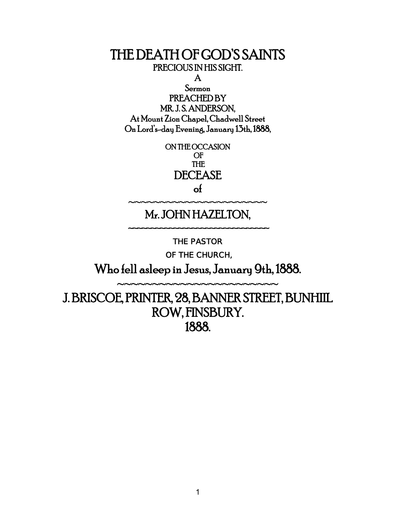### THE DEATH OF GOD'S SAINTS PRECIOUS IN HIS SIGHT.

A

Sermon PREACHED BY MR. J. S. ANDERSON, At Mount Zion Chapel, Chadwell Street On Lord's-day Evening, January 13th, 1888,

> ON THE OCCASION OF THE DECEASE

## of ~~~~~~~~~~~~~~~~~~~~~

## Mr. JOHN HAZELTON,

~~~~~~~~~~~~~~~~~~~~~~~~~~~~~~

THE PASTOR

OF THE CHURCH,

Who fell asleep in Jesus, January 9th, 1888.

~~~~~~~~~~~~~~~~~~~~

J. BRISCOE, PRINTER, 28, BANNER STREET, BUNHIIL ROW, FINSBURY. 1888.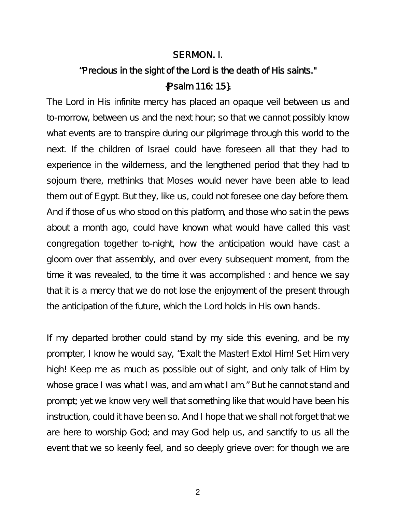#### SERMON. I.

# "Precious in the sight of the Lord is the death of His saints." {Psalm 116: 15}.

The Lord in His infinite mercy has placed an opaque veil between us and to-morrow, between us and the next hour; so that we cannot possibly know what events are to transpire during our pilgrimage through this world to the next. If the children of Israel could have foreseen all that they had to experience in the wilderness, and the lengthened period that they had to sojourn there, methinks that Moses would never have been able to lead them out of Egypt. But they, like us, could not foresee one day before them. And if those of us who stood on this platform, and those who sat in the pews about a month ago, could have known what would have called this vast congregation together to-night, how the anticipation would have cast a gloom over that assembly, and over every subsequent moment, from the time it was revealed, to the time it was accomplished : and hence we say that it is a mercy that we do not lose the enjoyment of the present through the anticipation of the future, which the Lord holds in His own hands.

If my departed brother could stand by my side this evening, and be my prompter, I know he would say, "Exalt the Master! Extol Him! Set Him very high! Keep me as much as possible out of sight, and only talk of Him by whose grace I was what I was, and am what I am." But he cannot stand and prompt; yet we know very well that something like that would have been his instruction, could it have been so. And I hope that we shall not forget that we are here to worship God; and may God help us, and sanctify to us all the event that we so keenly feel, and so deeply grieve over: for though we are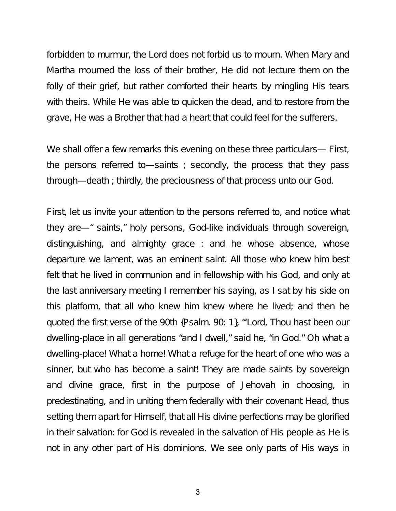forbidden to murmur, the Lord does not forbid us to mourn. When Mary and Martha mourned the loss of their brother, He did not lecture them on the folly of their grief, but rather comforted their hearts by mingling His tears with theirs. While He was able to quicken the dead, and to restore from the grave, He was a Brother that had a heart that could feel for the sufferers.

We shall offer a few remarks this evening on these three particulars— First, the persons referred to—saints ; secondly, the process that they pass through—death ; thirdly, the preciousness of that process unto our God.

First, let us invite your attention to the persons referred to, and notice what they are—" saints," holy persons, God-like individuals through sovereign, distinguishing, and almighty grace : and he whose absence, whose departure we lament, was an eminent saint. All those who knew him best felt that he lived in communion and in fellowship with his God, and only at the last anniversary meeting I remember his saying, as I sat by his side on this platform, that all who knew him knew where he lived; and then he quoted the first verse of the 90th {Psalm. 90: 1}, "'Lord, Thou hast been our dwelling-place in all generations "and I dwell," said he, "in God." Oh what a dwelling-place! What a home! What a refuge for the heart of one who was a sinner, but who has become a saint! They are made saints by sovereign and divine grace, first in the purpose of Jehovah in choosing, in predestinating, and in uniting them federally with their covenant Head, thus setting them apart for Himself, that all His divine perfections may be glorified in their salvation: for God is revealed in the salvation of His people as He is not in any other part of His dominions. We see only parts of His ways in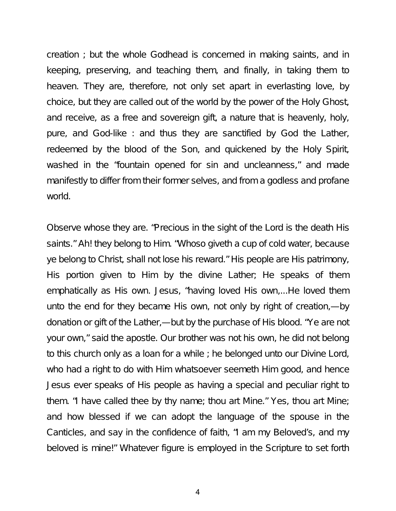creation ; but the whole Godhead is concerned in making saints, and in keeping, preserving, and teaching them, and finally, in taking them to heaven. They are, therefore, not only set apart in everlasting love, by choice, but they are called out of the world by the power of the Holy Ghost, and receive, as a free and sovereign gift, a nature that is heavenly, holy, pure, and God-like : and thus they are sanctified by God the Lather, redeemed by the blood of the Son, and quickened by the Holy Spirit, washed in the "fountain opened for sin and uncleanness," and made manifestly to differ from their former selves, and from a godless and profane world.

Observe whose they are. "Precious in the sight of the Lord is the death His saints." Ah! they belong to Him. "Whoso giveth a cup of cold water, because ye belong to Christ, shall not lose his reward." His people are His patrimony, His portion given to Him by the divine Lather; He speaks of them emphatically as His own. Jesus, "having loved His own,...He loved them unto the end for they became His own, not only by right of creation,—by donation or gift of the Lather,—but by the purchase of His blood. "Ye are not your own," said the apostle. Our brother was not his own, he did not belong to this church only as a loan for a while ; he belonged unto our Divine Lord, who had a right to do with Him whatsoever seemeth Him good, and hence Jesus ever speaks of His people as having a special and peculiar right to them. "I have called thee by thy name; thou art Mine." Yes, thou art Mine; and how blessed if we can adopt the language of the spouse in the Canticles, and say in the confidence of faith, "I am my Beloved's, and my beloved is mine!" Whatever figure is employed in the Scripture to set forth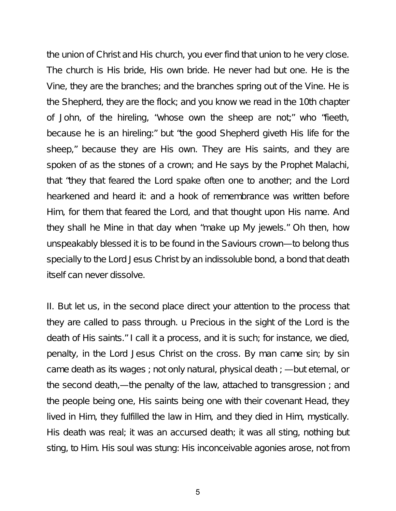the union of Christ and His church, you ever find that union to he very close. The church is His bride, His own bride. He never had but one. He is the Vine, they are the branches; and the branches spring out of the Vine. He is the Shepherd, they are the flock; and you know we read in the 10th chapter of John, of the hireling, "whose own the sheep are not;" who "fieeth, because he is an hireling:" but "the good Shepherd giveth His life for the sheep," because they are His own. They are His saints, and they are spoken of as the stones of a crown; and He says by the Prophet Malachi, that "they that feared the Lord spake often one to another; and the Lord hearkened and heard it: and a hook of remembrance was written before Him, for them that feared the Lord, and that thought upon His name. And they shall he Mine in that day when "make up My jewels." Oh then, how unspeakably blessed it is to be found in the Saviours crown—to belong thus specially to the Lord Jesus Christ by an indissoluble bond, a bond that death itself can never dissolve.

II. But let us, in the second place direct your attention to the process that they are called to pass through. u Precious in the sight of the Lord is the death of His saints." I call it a process, and it is such; for instance, we died, penalty, in the Lord Jesus Christ on the cross. By man came sin; by sin came death as its wages ; not only natural, physical death ; —but eternal, or the second death,—the penalty of the law, attached to transgression ; and the people being one, His saints being one with their covenant Head, they lived in Him, they fulfilled the law in Him, and they died in Him, mystically. His death was real; it was an accursed death; it was all sting, nothing but sting, to Him. His soul was stung: His inconceivable agonies arose, not from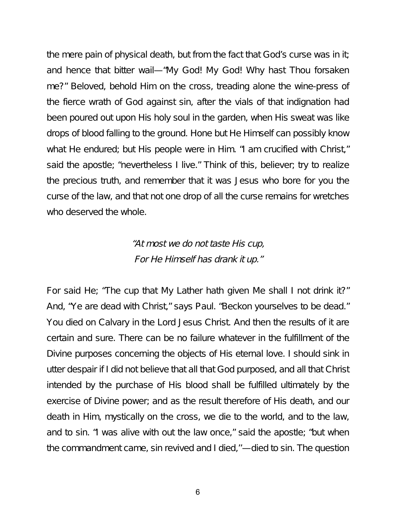the mere pain of physical death, but from the fact that God's curse was in it; and hence that bitter wail—"My God! My God! Why hast Thou forsaken me?" Beloved, behold Him on the cross, treading alone the wine-press of the fierce wrath of God against sin, after the vials of that indignation had been poured out upon His holy soul in the garden, when His sweat was like drops of blood falling to the ground. Hone but He Himself can possibly know what He endured; but His people were in Him. "I am crucified with Christ," said the apostle; "nevertheless I live." Think of this, believer; try to realize the precious truth, and remember that it was Jesus who bore for you the curse of the law, and that not one drop of all the curse remains for wretches who deserved the whole.

## "At most we do not taste His cup, For He Himself has drank it up."

For said He; "The cup that My Lather hath given Me shall I not drink it?" And, "Ye are dead with Christ," says Paul. "Beckon yourselves to be dead." You died on Calvary in the Lord Jesus Christ. And then the results of it are certain and sure. There can be no failure whatever in the fulfillment of the Divine purposes concerning the objects of His eternal love. I should sink in utter despair if I did not believe that all that God purposed, and all that Christ intended by the purchase of His blood shall be fulfilled ultimately by the exercise of Divine power; and as the result therefore of His death, and our death in Him, mystically on the cross, we die to the world, and to the law, and to sin. "I was alive with out the law once," said the apostle; "but when the commandment came, sin revived and I died,''—died to sin. The question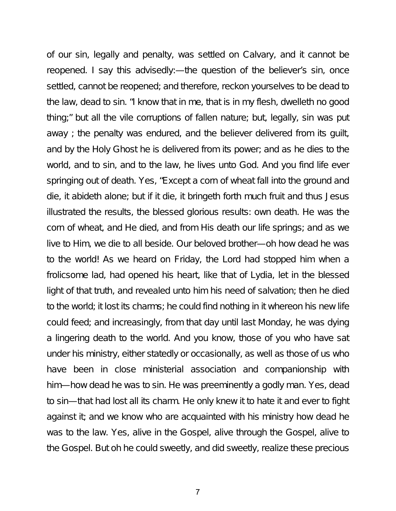of our sin, legally and penalty, was settled on Calvary, and it cannot be reopened. I say this advisedly:—the question of the believer's sin, once settled, cannot be reopened; and therefore, reckon yourselves to be dead to the law, dead to sin. "I know that in me, that is in my flesh, dwelleth no good thing;" but all the vile corruptions of fallen nature; but, legally, sin was put away ; the penalty was endured, and the believer delivered from its guilt, and by the Holy Ghost he is delivered from its power; and as he dies to the world, and to sin, and to the law, he lives unto God. And you find life ever springing out of death. Yes, "Except a corn of wheat fall into the ground and die, it abideth alone; but if it die, it bringeth forth much fruit and thus Jesus illustrated the results, the blessed glorious results: own death. He was the corn of wheat, and He died, and from His death our life springs; and as we live to Him, we die to all beside. Our beloved brother—oh how dead he was to the world! As we heard on Friday, the Lord had stopped him when a frolicsome lad, had opened his heart, like that of Lydia, let in the blessed light of that truth, and revealed unto him his need of salvation; then he died to the world; it lost its charms; he could find nothing in it whereon his new life could feed; and increasingly, from that day until last Monday, he was dying a lingering death to the world. And you know, those of you who have sat under his ministry, either statedly or occasionally, as well as those of us who have been in close ministerial association and companionship with him—how dead he was to sin. He was preeminently a godly man. Yes, dead to sin—that had lost all its charm. He only knew it to hate it and ever to fight against it; and we know who are acquainted with his ministry how dead he was to the law. Yes, alive in the Gospel, alive through the Gospel, alive to the Gospel. But oh he could sweetly, and did sweetly, realize these precious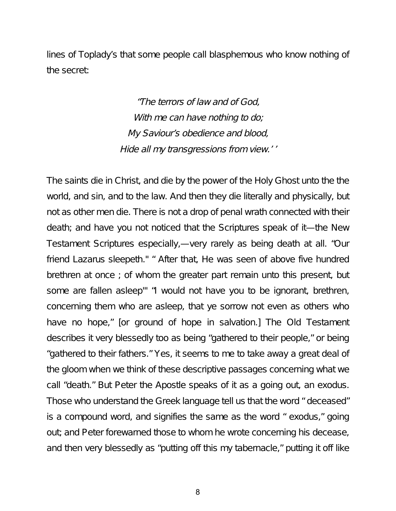lines of Toplady's that some people call blasphemous who know nothing of the secret:

> "The terrors of law and of God, With me can have nothing to do; My Saviour's obedience and blood, Hide all my transgressions from view.' '

The saints die in Christ, and die by the power of the Holy Ghost unto the the world, and sin, and to the law. And then they die literally and physically, but not as other men die. There is not a drop of penal wrath connected with their death; and have you not noticed that the Scriptures speak of it—the New Testament Scriptures especially,—very rarely as being death at all. "Our friend Lazarus sleepeth." " After that, He was seen of above five hundred brethren at once ; of whom the greater part remain unto this present, but some are fallen asleep'" "I would not have you to be ignorant, brethren, concerning them who are asleep, that ye sorrow not even as others who have no hope," [or ground of hope in salvation.] The Old Testament describes it very blessedly too as being "gathered to their people," or being "gathered to their fathers." Yes, it seems to me to take away a great deal of the gloom when we think of these descriptive passages concerning what we call "death." But Peter the Apostle speaks of it as a going out, an exodus. Those who understand the Greek language tell us that the word " deceased" is a compound word, and signifies the same as the word " exodus," going out; and Peter forewarned those to whom he wrote concerning his decease, and then very blessedly as "putting off this my tabernacle," putting it off like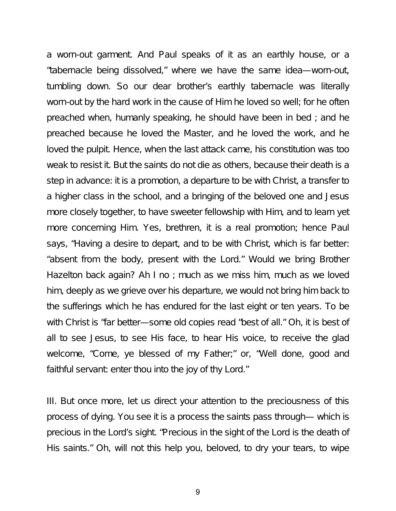a worn-out garment. And Paul speaks of it as an earthly house, or a "tabernacle being dissolved," where we have the same idea—worn-out, tumbling down. So our dear brother's earthly tabernacle was literally worn-out by the hard work in the cause of Him he loved so well; for he often preached when, humanly speaking, he should have been in bed ; and he preached because he loved the Master, and he loved the work, and he loved the pulpit. Hence, when the last attack came, his constitution was too weak to resist it. But the saints do not die as others, because their death is a step in advance: it is a promotion, a departure to be with Christ, a transfer to a higher class in the school, and a bringing of the beloved one and Jesus more closely together, to have sweeter fellowship with Him, and to learn yet more concerning Him. Yes, brethren, it is a real promotion; hence Paul says, "Having a desire to depart, and to be with Christ, which is far better: "absent from the body, present with the Lord." Would we bring Brother Hazelton back again? Ah I no ; much as we miss him, much as we loved him, deeply as we grieve over his departure, we would not bring him back to the sufferings which he has endured for the last eight or ten years. To be with Christ is "far better—some old copies read "best of all." Oh, it is best of all to see Jesus, to see His face, to hear His voice, to receive the glad welcome, "Come, ye blessed of my Father;" or, "Well done, good and faithful servant: enter thou into the joy of thy Lord."

III. But once more, let us direct your attention to the preciousness of this process of dying. You see it is a process the saints pass through— which is precious in the Lord's sight. "Precious in the sight of the Lord is the death of His saints." Oh, will not this help you, beloved, to dry your tears, to wipe

9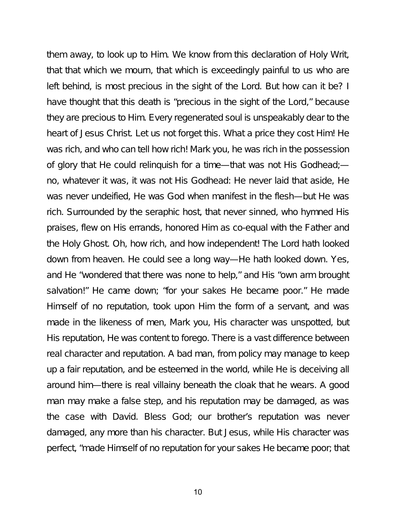them away, to look up to Him. We know from this declaration of Holy Writ, that that which we mourn, that which is exceedingly painful to us who are left behind, is most precious in the sight of the Lord. But how can it be? I have thought that this death is "precious in the sight of the Lord," because they are precious to Him. Every regenerated soul is unspeakably dear to the heart of Jesus Christ. Let us not forget this. What a price they cost Him! He was rich, and who can tell how rich! Mark you, he was rich in the possession of glory that He could relinquish for a time—that was not His Godhead; no, whatever it was, it was not His Godhead: He never laid that aside, He was never undeified, He was God when manifest in the flesh—but He was rich. Surrounded by the seraphic host, that never sinned, who hymned His praises, flew on His errands, honored Him as co-equal with the Father and the Holy Ghost. Oh, how rich, and how independent! The Lord hath looked down from heaven. He could see a long way—He hath looked down. Yes, and He "wondered that there was none to help," and His "own arm brought salvation!" He came down; "for your sakes He became poor." He made Himself of no reputation, took upon Him the form of a servant, and was made in the likeness of men, Mark you, His character was unspotted, but His reputation, He was content to forego. There is a vast difference between real character and reputation. A bad man, from policy may manage to keep up a fair reputation, and be esteemed in the world, while He is deceiving all around him—there is real villainy beneath the cloak that he wears. A good man may make a false step, and his reputation may be damaged, as was the case with David. Bless God; our brother's reputation was never damaged, any more than his character. But Jesus, while His character was perfect, "made Himself of no reputation for your sakes He became poor; that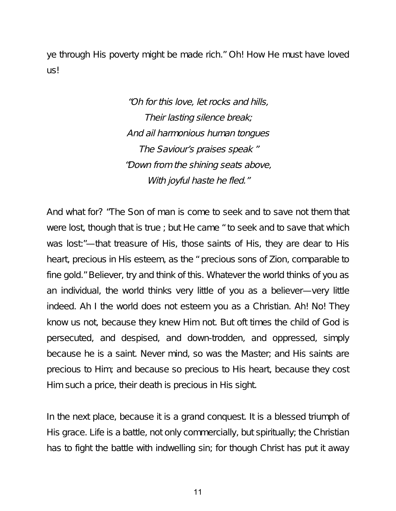ye through His poverty might be made rich." Oh! How He must have loved us!

> "Oh for this love, let rocks and hills, Their lasting silence break; And ail harmonious human tongues The Saviour's praises speak " "Down from the shining seats above, With joyful haste he fled."

And what for? "The Son of man is come to seek and to save not them that were lost, though that is true ; but He came " to seek and to save that which was lost:"—that treasure of His, those saints of His, they are dear to His heart, precious in His esteem, as the " precious sons of Zion, comparable to fine gold." Believer, try and think of this. Whatever the world thinks of you as an individual, the world thinks very little of you as a believer—very little indeed. Ah I the world does not esteem you as a Christian. Ah! No! They know us not, because they knew Him not. But oft times the child of God is persecuted, and despised, and down-trodden, and oppressed, simply because he is a saint. Never mind, so was the Master; and His saints are precious to Him; and because so precious to His heart, because they cost Him such a price, their death is precious in His sight.

In the next place, because it is a grand conquest. It is a blessed triumph of His grace. Life is a battle, not only commercially, but spiritually; the Christian has to fight the battle with indwelling sin; for though Christ has put it away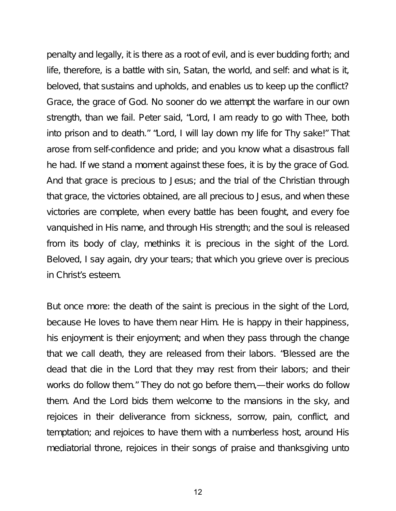penalty and legally, it is there as a root of evil, and is ever budding forth; and life, therefore, is a battle with sin, Satan, the world, and self: and what is it, beloved, that sustains and upholds, and enables us to keep up the conflict? Grace, the grace of God. No sooner do we attempt the warfare in our own strength, than we fail. Peter said, "Lord, I am ready to go with Thee, both into prison and to death." "Lord, I will lay down my life for Thy sake!" That arose from self-confidence and pride; and you know what a disastrous fall he had. If we stand a moment against these foes, it is by the grace of God. And that grace is precious to Jesus; and the trial of the Christian through that grace, the victories obtained, are all precious to Jesus, and when these victories are complete, when every battle has been fought, and every foe vanquished in His name, and through His strength; and the soul is released from its body of clay, methinks it is precious in the sight of the Lord. Beloved, I say again, dry your tears; that which you grieve over is precious in Christ's esteem.

But once more: the death of the saint is precious in the sight of the Lord, because He loves to have them near Him. He is happy in their happiness, his enjoyment is their enjoyment; and when they pass through the change that we call death, they are released from their labors. "Blessed are the dead that die in the Lord that they may rest from their labors; and their works do follow them." They do not go before them,—their works do follow them. And the Lord bids them welcome to the mansions in the sky, and rejoices in their deliverance from sickness, sorrow, pain, conflict, and temptation; and rejoices to have them with a numberless host, around His mediatorial throne, rejoices in their songs of praise and thanksgiving unto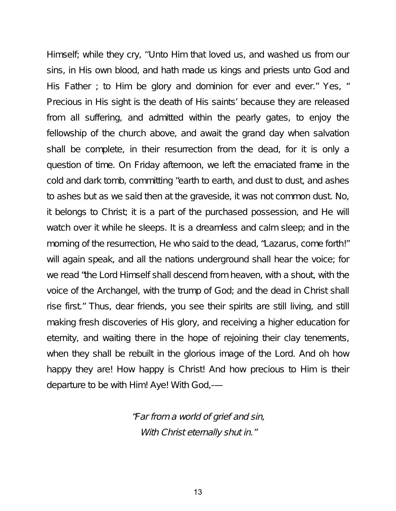Himself; while they cry, ''Unto Him that loved us, and washed us from our sins, in His own blood, and hath made us kings and priests unto God and His Father; to Him be glory and dominion for ever and ever." Yes, " Precious in His sight is the death of His saints' because they are released from all suffering, and admitted within the pearly gates, to enjoy the fellowship of the church above, and await the grand day when salvation shall be complete, in their resurrection from the dead, for it is only a question of time. On Friday afternoon, we left the emaciated frame in the cold and dark tomb, committing "earth to earth, and dust to dust, and ashes to ashes but as we said then at the graveside, it was not common dust. No, it belongs to Christ; it is a part of the purchased possession, and He will watch over it while he sleeps. It is a dreamless and calm sleep; and in the morning of the resurrection, He who said to the dead, "Lazarus, come forth!" will again speak, and all the nations underground shall hear the voice; for we read "the Lord Himself shall descend from heaven, with a shout, with the voice of the Archangel, with the trump of God; and the dead in Christ shall rise first." Thus, dear friends, you see their spirits are still living, and still making fresh discoveries of His glory, and receiving a higher education for eternity, and waiting there in the hope of rejoining their clay tenements, when they shall be rebuilt in the glorious image of the Lord. And oh how happy they are! How happy is Christ! And how precious to Him is their departure to be with Him! Aye! With God,-—

> "Far from <sup>a</sup> world of grief and sin, With Christ eternally shut in."